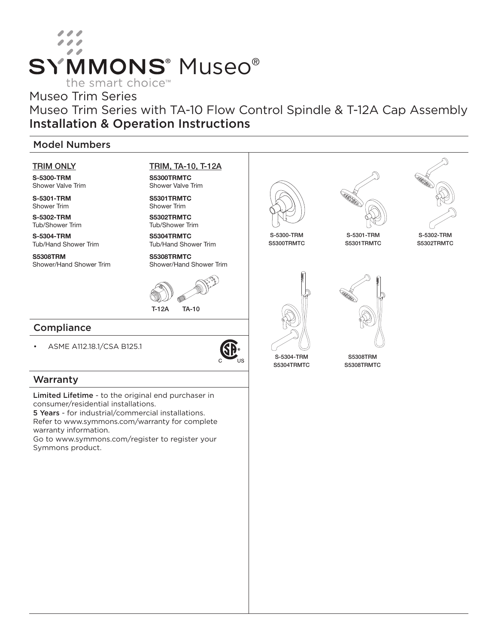# **SYMMONS® Museo®** the smart choice<sup>™</sup>

## Museo Trim Series

Museo Trim Series with TA-10 Flow Control Spindle & T-12A Cap Assembly Installation & Operation Instructions

## Model Numbers

#### TRIM ONLY

S-5300-TRM Shower Valve Trim

S-5301-TRM Shower Trim

S-5302-TRM Tub/Shower Trim

S-5304-TRM Tub/Hand Shower Trim

S5308TRM Shower/Hand Shower Trim TRIM, TA-10, T-12A

S5300TRMTC Shower Valve Trim

S5301TRMTC Shower Trim S5302TRMTC

Tub/Shower Trim

S5304TRMTC Tub/Hand Shower Trim

S5308TRMTC Shower/Hand Shower Trim



## **Compliance**

• ASME A112.18.1/CSA B125.1



## **Warranty**

Limited Lifetime - to the original end purchaser in consumer/residential installations.

5 Years - for industrial/commercial installations. Refer to www.symmons.com/warranty for complete warranty information.

Go to www.symmons.com/register to register your Symmons product.



S5300TRMTC





S-5301-TRM S5301TRMTC

S-5302-TRM S5302TRMTC







S5308TRM S5308TRMTC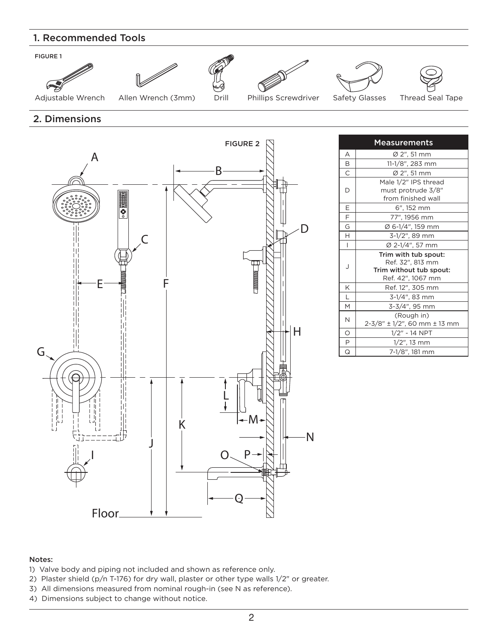## 1. Recommended Tools













Adjustable Wrench Allen Wrench (3mm) Drill Phillips Screwdriver Safety Glasses Thread Seal Tape

## 2. Dimensions



| <b>Measurements</b> |                                                                                          |  |  |  |
|---------------------|------------------------------------------------------------------------------------------|--|--|--|
| А                   | Ø 2", 51 mm                                                                              |  |  |  |
| В                   | 11-1/8", 283 mm                                                                          |  |  |  |
| C                   | Ø 2", 51 mm                                                                              |  |  |  |
| D                   | Male 1/2" IPS thread<br>must protrude 3/8"<br>from finished wall                         |  |  |  |
| Ε                   | 6", 152 mm                                                                               |  |  |  |
| F                   | 77", 1956 mm                                                                             |  |  |  |
| G                   | Ø 6-1/4", 159 mm                                                                         |  |  |  |
| H                   | 3-1/2", 89 mm                                                                            |  |  |  |
| $\overline{1}$      | Ø 2-1/4", 57 mm                                                                          |  |  |  |
| J                   | Trim with tub spout:<br>Ref. 32", 813 mm<br>Trim without tub spout:<br>Ref. 42", 1067 mm |  |  |  |
| K                   | Ref. 12", 305 mm                                                                         |  |  |  |
| L                   | 3-1/4", 83 mm                                                                            |  |  |  |
| M                   | 3-3/4", 95 mm                                                                            |  |  |  |
| N                   | (Rough in)<br>2-3/8" ± 1/2", 60 mm ± 13 mm                                               |  |  |  |
| O                   | 1/2" - 14 NPT                                                                            |  |  |  |
| P                   | $1/2$ ", 13 mm                                                                           |  |  |  |
| Q                   | 7-1/8", 181 mm                                                                           |  |  |  |

#### Notes:

- 1) Valve body and piping not included and shown as reference only.
- 2) Plaster shield (p/n T-176) for dry wall, plaster or other type walls 1/2" or greater.
- 3) All dimensions measured from nominal rough-in (see N as reference).
- 4) Dimensions subject to change without notice.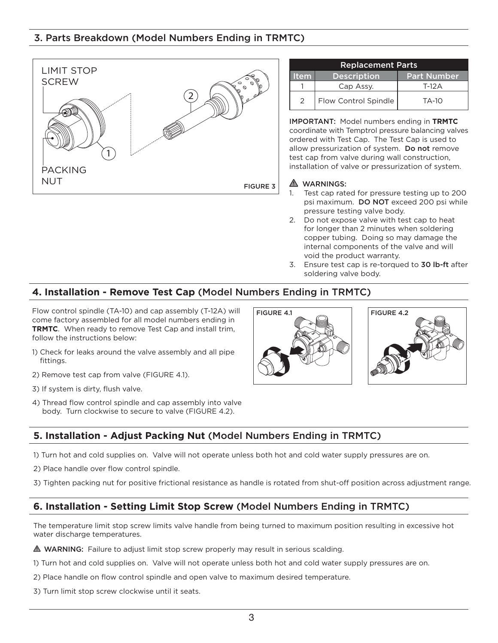## 3. Parts Breakdown (Model Numbers Ending in TRMTC)



| <b>Replacement Parts</b> |                      |                    |  |  |  |
|--------------------------|----------------------|--------------------|--|--|--|
| <b>Item</b>              | <b>Description</b>   | <b>Part Number</b> |  |  |  |
|                          | Cap Assy.            | T-12 A             |  |  |  |
| $\mathcal{P}$            | Flow Control Spindle | TA-10              |  |  |  |

IMPORTANT: Model numbers ending in **TRMTC** coordinate with Temptrol pressure balancing valves ordered with Test Cap. The Test Cap is used to allow pressurization of system. Do not remove test cap from valve during wall construction, installation of valve or pressurization of system.

#### **A** WARNINGS:

- 1. Test cap rated for pressure testing up to 200 psi maximum. DO NOT exceed 200 psi while pressure testing valve body.
- 2. Do not expose valve with test cap to heat for longer than 2 minutes when soldering copper tubing. Doing so may damage the internal components of the valve and will void the product warranty.
- 3. Ensure test cap is re-torqued to 30 lb-ft after soldering valve body.

#### **4. Installation - Remove Test Cap** (Model Numbers Ending in TRMTC)

Flow control spindle (TA-10) and cap assembly (T-12A) will come factory assembled for all model numbers ending in **TRMTC**. When ready to remove Test Cap and install trim, follow the instructions below:

- 1) Check for leaks around the valve assembly and all pipe fittings.
- 2) Remove test cap from valve (FIGURE 4.1).
- 3) If system is dirty, flush valve.
- 4) Thread flow control spindle and cap assembly into valve body. Turn clockwise to secure to valve (FIGURE 4.2).





#### **5. Installation - Adjust Packing Nut** (Model Numbers Ending in TRMTC)

- 1) Turn hot and cold supplies on. Valve will not operate unless both hot and cold water supply pressures are on.
- 2) Place handle over flow control spindle.
- 3) Tighten packing nut for positive frictional resistance as handle is rotated from shut-off position across adjustment range.

## **6. Installation - Setting Limit Stop Screw** (Model Numbers Ending in TRMTC)

The temperature limit stop screw limits valve handle from being turned to maximum position resulting in excessive hot water discharge temperatures.

WARNING: Failure to adjust limit stop screw properly may result in serious scalding.

- 1) Turn hot and cold supplies on. Valve will not operate unless both hot and cold water supply pressures are on.
- 2) Place handle on flow control spindle and open valve to maximum desired temperature.
- 3) Turn limit stop screw clockwise until it seats.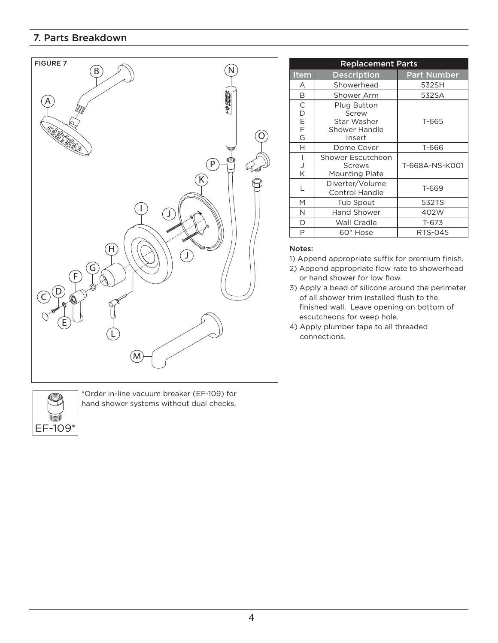## 7. Parts Breakdown





\*Order in-line vacuum breaker (EF-109) for hand shower systems without dual checks.

| <b>Replacement Parts</b>        |                                                                       |                    |  |  |
|---------------------------------|-----------------------------------------------------------------------|--------------------|--|--|
| Item                            | <b>Description</b>                                                    | <b>Part Number</b> |  |  |
| А                               | Showerhead                                                            | 532SH              |  |  |
| B                               | Shower Arm                                                            | 532SA              |  |  |
| $\mathsf C$<br>D<br>E<br>F<br>G | Plug Button<br>Screw<br>Star Washer<br><b>Shower Handle</b><br>Insert | T-665              |  |  |
| н                               | Dome Cover                                                            | T-666              |  |  |
| I<br>J<br>K                     | Shower Escutcheon<br>Screws<br>Mounting Plate                         | T-668A-NS-K001     |  |  |
|                                 | Diverter/Volume<br><b>Control Handle</b>                              | T-669              |  |  |
| M                               | Tub Spout                                                             | 532TS              |  |  |
| Ν                               | <b>Hand Shower</b>                                                    | 402W               |  |  |
| Ο                               | Wall Cradle                                                           | T-673              |  |  |
| P                               | 60" Hose                                                              | RTS-045            |  |  |

#### Notes:

- 1) Append appropriate suffix for premium finish.
- 2) Append appropriate flow rate to showerhead or hand shower for low flow.
- 3) Apply a bead of silicone around the perimeter of all shower trim installed flush to the finished wall. Leave opening on bottom of escutcheons for weep hole.
- 4) Apply plumber tape to all threaded connections.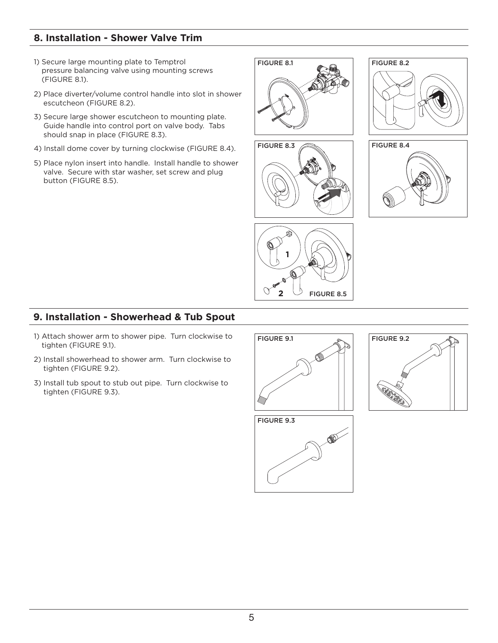## **8. Installation - Shower Valve Trim**

- 1) Secure large mounting plate to Temptrol pressure balancing valve using mounting screws (FIGURE 8.1).
- 2) Place diverter/volume control handle into slot in shower escutcheon (FIGURE 8.2).
- 3) Secure large shower escutcheon to mounting plate. Guide handle into control port on valve body. Tabs should snap in place (FIGURE 8.3).
- 4) Install dome cover by turning clockwise (FIGURE 8.4).
- 5) Place nylon insert into handle. Install handle to shower valve. Secure with star washer, set screw and plug button (FIGURE 8.5).











## **9. Installation - Showerhead & Tub Spout**

- 1) Attach shower arm to shower pipe. Turn clockwise to tighten (FIGURE 9.1).
- 2) Install showerhead to shower arm. Turn clockwise to tighten (FIGURE 9.2).
- 3) Install tub spout to stub out pipe. Turn clockwise to tighten (FIGURE 9.3).





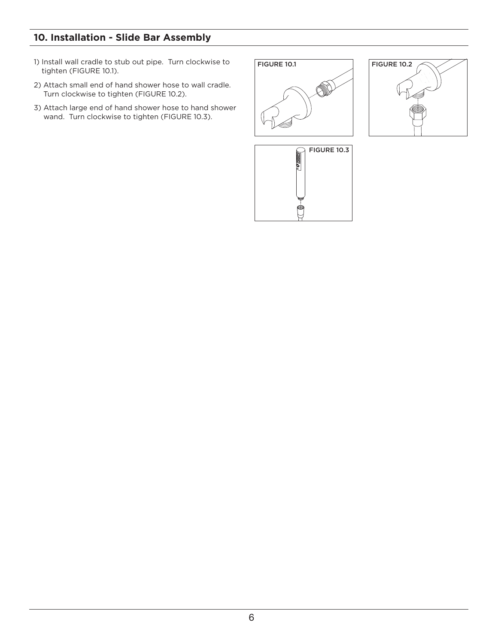# **10. Installation - Slide Bar Assembly**

- 1) Install wall cradle to stub out pipe. Turn clockwise to tighten (FIGURE 10.1).
- 2) Attach small end of hand shower hose to wall cradle. Turn clockwise to tighten (FIGURE 10.2).
- 3) Attach large end of hand shower hose to hand shower wand. Turn clockwise to tighten (FIGURE 10.3).





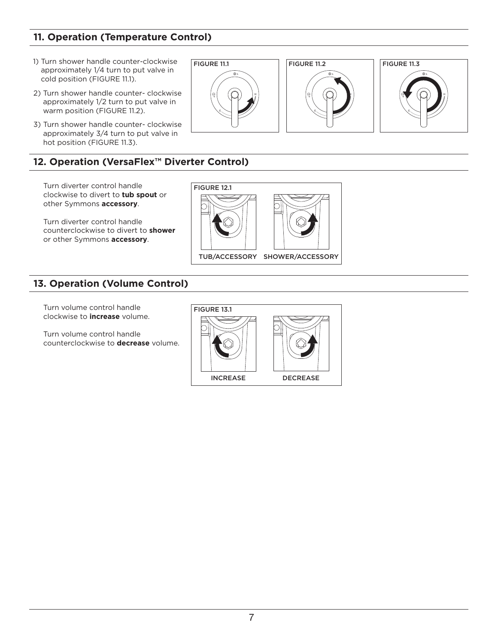# **11. Operation (Temperature Control)**

- 1) Turn shower handle counter-clockwise approximately 1/4 turn to put valve in cold position (FIGURE 11.1).
- 2) Turn shower handle counter- clockwise approximately 1/2 turn to put valve in warm position (FIGURE 11.2).
- 3) Turn shower handle counter- clockwise approximately 3/4 turn to put valve in hot position (FIGURE 11.3).

# **12. Operation (VersaFlex™ Diverter Control)**

Turn diverter control handle clockwise to divert to **tub spout** or other Symmons **accessory**.

Turn diverter control handle counterclockwise to divert to **shower** or other Symmons **accessory**.

## **13. Operation (Volume Control)**

Turn volume control handle clockwise to **increase** volume.

Turn volume control handle counterclockwise to **decrease** volume.